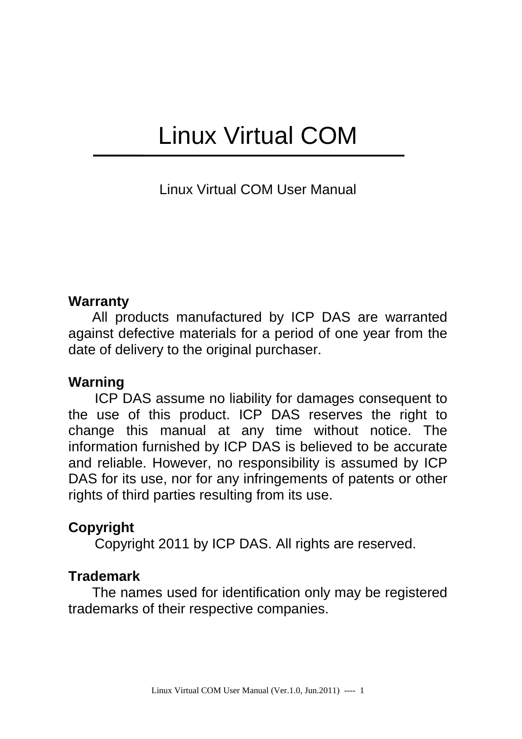# Linux Virtual COM

Linux Virtual COM User Manual

#### **Warranty**

All products manufactured by ICP DAS are warranted against defective materials for a period of one year from the date of delivery to the original purchaser.

#### **Warning**

ICP DAS assume no liability for damages consequent to the use of this product. ICP DAS reserves the right to change this manual at any time without notice. The information furnished by ICP DAS is believed to be accurate and reliable. However, no responsibility is assumed by ICP DAS for its use, nor for any infringements of patents or other rights of third parties resulting from its use.

#### **Copyright**

Copyright 2011 by ICP DAS. All rights are reserved.

#### **Trademark**

The names used for identification only may be registered trademarks of their respective companies.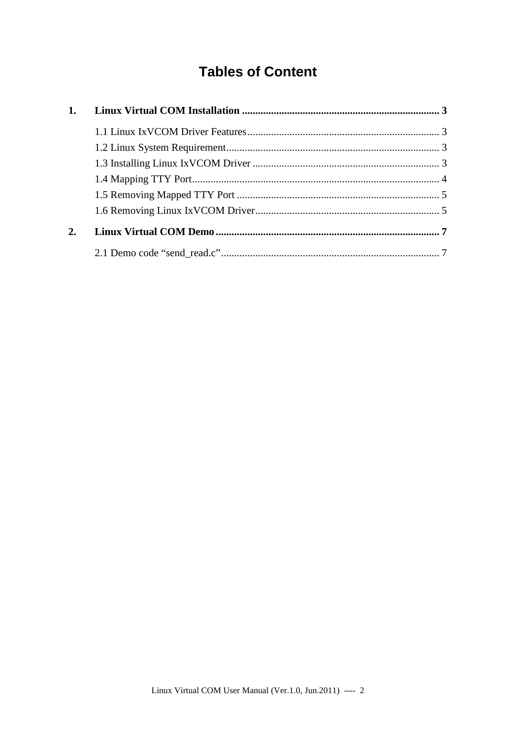## **Tables of Content**

| 2. |  |  |  |  |  |
|----|--|--|--|--|--|
|    |  |  |  |  |  |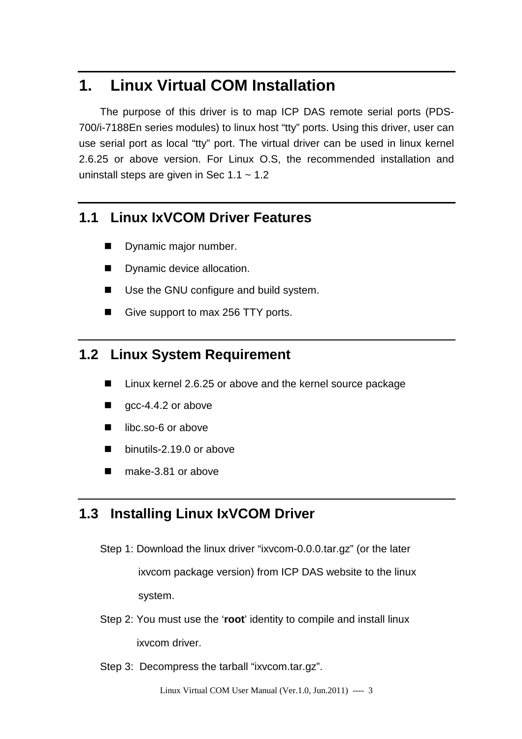## **1. Linux Virtual COM Installation**

The purpose of this driver is to map ICP DAS remote serial ports (PDS-700/i-7188En series modules) to linux host "tty" ports. Using this driver, user can use serial port as local "tty" port. The virtual driver can be used in linux kernel 2.6.25 or above version. For Linux O.S, the recommended installation and uninstall steps are given in Sec  $1.1 \sim 1.2$ 

#### **1.1 Linux IxVCOM Driver Features**

- **Dynamic major number.**
- **Dynamic device allocation.**
- Use the GNU configure and build system.
- Give support to max 256 TTY ports.

## **1.2 Linux System Requirement**

- Linux kernel 2.6.25 or above and the kernel source package
- $\Box$  gcc-4.4.2 or above
- libc.so-6 or above
- binutils-2.19.0 or above
- make-3.81 or above

### **1.3 Installing Linux IxVCOM Driver**

Step 1: Download the linux driver "ixvcom-0.0.0.tar.gz" (or the later

 ixvcom package version) from ICP DAS website to the linux system.

- Step 2: You must use the '**root**' identity to compile and install linux ixvcom driver.
- Step 3: Decompress the tarball "ixvcom.tar.gz".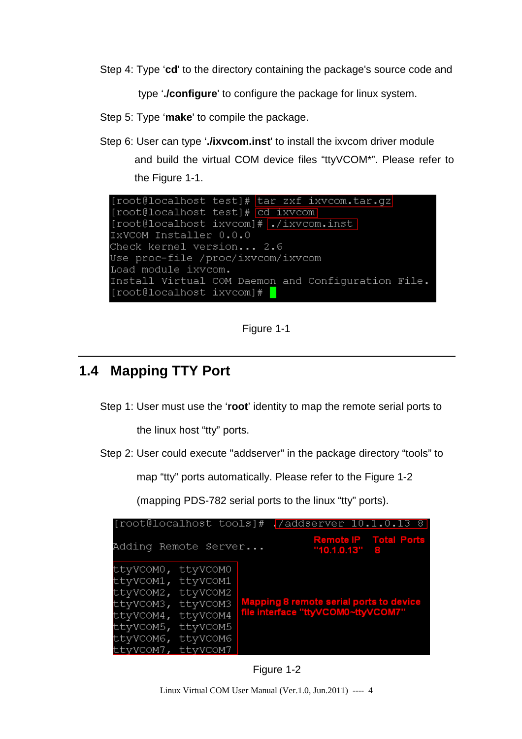Step 4: Type '**cd**' to the directory containing the package's source code and

type '**./configure**' to configure the package for linux system.

- Step 5: Type '**make**' to compile the package.
- Step 6: User can type '**./ixvcom.inst**' to install the ixvcom driver module and build the virtual COM device files "ttyVCOM\*". Please refer to the Figure 1-1.



Figure 1-1

#### **1.4 Mapping TTY Port**

Step 1: User must use the '**root**' identity to map the remote serial ports to

the linux host "tty" ports.

Step 2: User could execute "addserver" in the package directory "tools" to

map "tty" ports automatically. Please refer to the Figure 1-2

(mapping PDS-782 serial ports to the linux "tty" ports).

| [root@localhost tools]# . /addserver 10.1.0.13 8                                                                                                                             |  |                                                                               |                                                 |  |  |
|------------------------------------------------------------------------------------------------------------------------------------------------------------------------------|--|-------------------------------------------------------------------------------|-------------------------------------------------|--|--|
| Adding Remote Server                                                                                                                                                         |  |                                                                               | <b>Remote IP</b> Total Ports<br>$"10.1.0.13"$ 8 |  |  |
| ttyVCOMO, ttyVCOMO<br>ttyVCOM1, ttyVCOM1<br>ttyVCOM2, ttyVCOM2<br>ttyVCOM3, ttyVCOM3<br>ttyVCOM4, ttyVCOM4<br>ttyVCOM5, ttyVCOM5<br>ttyVCOM6, ttyVCOM6<br>ttyVCOM7, ttyVCOM7 |  | Mapping 8 remote serial ports to device<br>file interface "ttyVCOM0~ttyVCOM7" |                                                 |  |  |

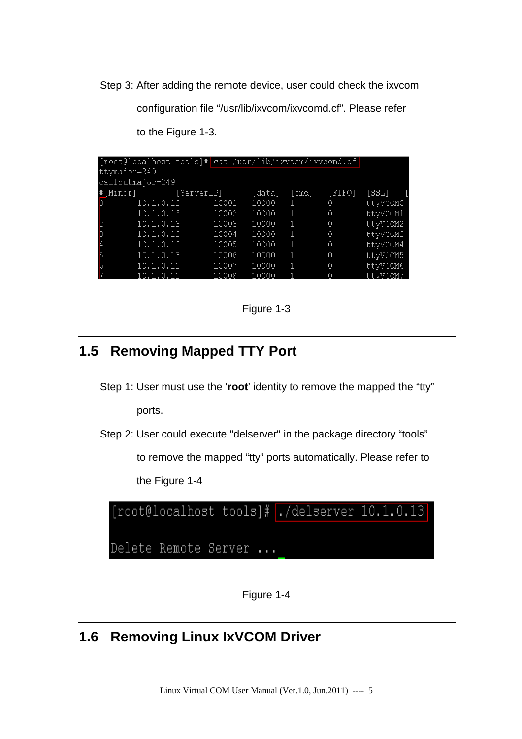Step 3: After adding the remote device, user could check the ixvcom

configuration file "/usr/lib/ixvcom/ixvcomd.cf". Please refer

|                | [root@localhost tools]# cat /usr/lib/ixvcom/ixvcomd.cf |       |        |       |        |            |
|----------------|--------------------------------------------------------|-------|--------|-------|--------|------------|
|                | ttymajor=249                                           |       |        |       |        |            |
|                | calloutmajor=249                                       |       |        |       |        |            |
|                | #[Minor] [ServerIP]                                    |       | [data] | [cmd] | [FIFO] | [SSL]      |
| þТ             | 10.1.0.13                                              | 10001 | 10000  | 1     | 0      | ttyVCOM0   |
| $\mathbf{1}$ . | 10.1.0.13                                              | 10002 | 10000  | 1     | 0      | ttyVCOM1   |
| $\mathsf{P}$   | 10.1.0.13                                              | 10003 | 10000  | 1     | 0      | ttyVCOM2   |
| 3.             | 10.1.0.13                                              | 10004 | 10000  | 1     | 0      | ttyVCOM3   |
| $\overline{4}$ | 10.1.0.13                                              | 10005 | 10000  | 1     | 0      | ttyVCOM4   |
| 5.             | 10.1.0.13                                              | 10006 | 10000  | Æ     | 0      | ttyVCOM5   |
| $\overline{6}$ | 10.1.0.13                                              | 10007 | 10000  | 1     | 0      | ttyVCOM6   |
| 7              | 101013                                                 | 10008 | 10000  |       | n      | $++vUCDM7$ |

to the Figure 1-3.

Figure 1-3

## **1.5 Removing Mapped TTY Port**

- Step 1: User must use the '**root**' identity to remove the mapped the "tty" ports.
- Step 2: User could execute "delserver" in the package directory "tools"

to remove the mapped "tty" ports automatically. Please refer to the Figure 1-4



Figure 1-4

## **1.6 Removing Linux IxVCOM Driver**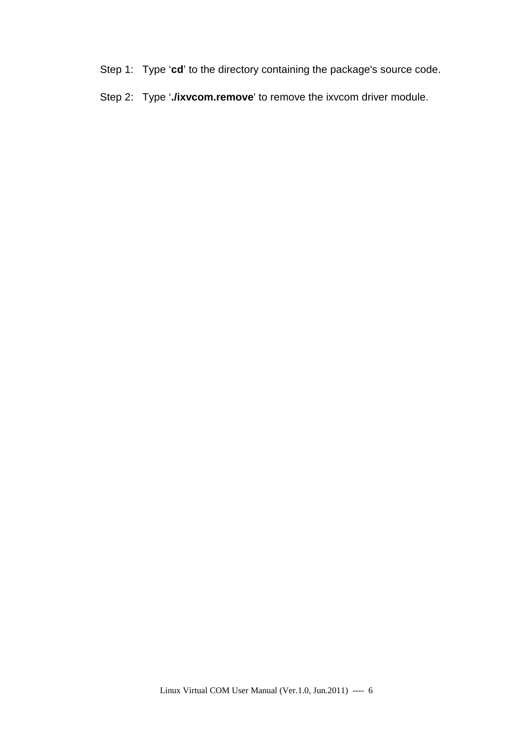- Step 1: Type '**cd**' to the directory containing the package's source code.
- Step 2: Type '**./ixvcom.remove**' to remove the ixvcom driver module.